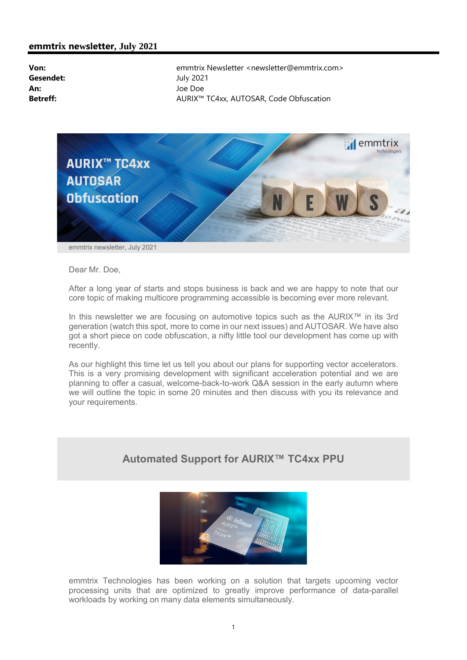

Dear Mr. Doe,

After a long year of starts and stops business is back and we are happy to note that our core topic of making multicore programming accessible is becoming ever more relevant.

In this newsletter we are focusing on automotive topics such as the AURIX™ in its 3rd generation (watch this spot, more to come in our next issues) and AUTOSAR. We have also got a short piece on code obfuscation, a nifty little tool our development has come up with recently.

As our highlight this time let us tell you about our plans for supporting vector accelerators. This is a very promising development with significant acceleration potential and we are planning to offer a casual, welcome-back-to-work Q&A session in the early autumn where we will outline the topic in some 20 minutes and then discuss with you its relevance and your requirements.

# Automated Support for AURIX™ TC4xx PPU



emmtrix Technologies has been working on a solution that targets upcoming vector processing units that are optimized to greatly improve performance of data-parallel workloads by working on many data elements simultaneously.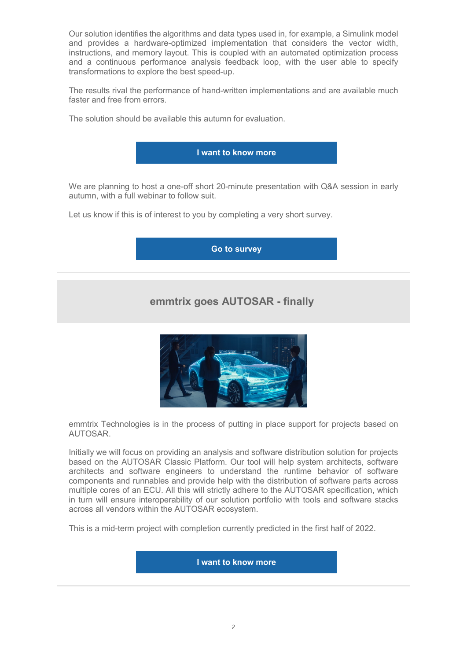Our solution identifies the algorithms and data types used in, for example, a Simulink model and provides a hardware-optimized implementation that considers the vector width, instructions, and memory layout. This is coupled with an automated optimization process and a continuous performance analysis feedback loop, with the user able to specify transformations to explore the best speed-up.

The results rival the performance of hand-written implementations and are available much faster and free from errors.

The solution should be available this autumn for evaluation.



We are planning to host a one-off short 20-minute presentation with Q&A session in early autumn, with a full webinar to follow suit.

Let us know if this is of interest to you by completing a very short survey.

#### Go to survey

# emmtrix goes AUTOSAR - finally



emmtrix Technologies is in the process of putting in place support for projects based on AUTOSAR.

Initially we will focus on providing an analysis and software distribution solution for projects based on the AUTOSAR Classic Platform. Our tool will help system architects, software architects and software engineers to understand the runtime behavior of software components and runnables and provide help with the distribution of software parts across multiple cores of an ECU. All this will strictly adhere to the AUTOSAR specification, which in turn will ensure interoperability of our solution portfolio with tools and software stacks across all vendors within the AUTOSAR ecosystem.

This is a mid-term project with completion currently predicted in the first half of 2022.

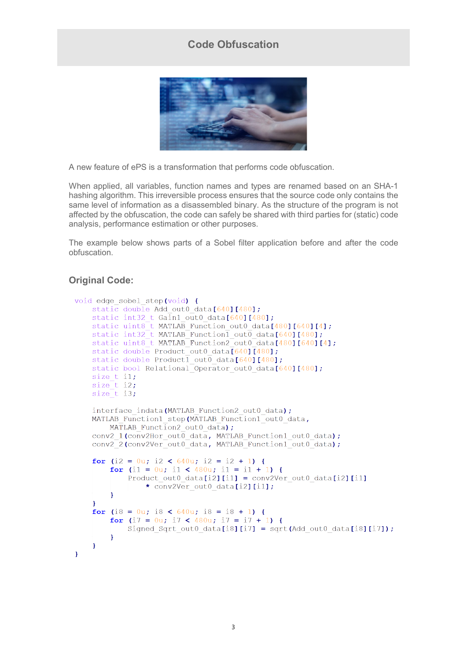## Code Obfuscation



A new feature of ePS is a transformation that performs code obfuscation.

When applied, all variables, function names and types are renamed based on an SHA-1 hashing algorithm. This irreversible process ensures that the source code only contains the same level of information as a disassembled binary. As the structure of the program is not affected by the obfuscation, the code can safely be shared with third parties for (static) code analysis, performance estimation or other purposes.

The example below shows parts of a Sobel filter application before and after the code obfuscation.

#### **Original Code:**

```
void edge sobel step(void) {
     static double Add out 0 data [640] [480];
     static int32_t Gain1_out0_data[640][480];
    static uint8_t MATLAB_Function_out0_data[480][640][4];<br>static int32_t MATLAB_Function1_out0_data[640][480];<br>static uint8_t MATLAB_Function2_out0_data[480][640][4];
     static double Product out 0 data \lceil 640 \rceil \lceil 480 \rceil;
     static double Product1 out0 data[640][480];
     static bool Relational Operator out 0data [640] [480];
     size t il;
     size t i2;
     size t i3;
     interface indata (MATLAB Function2 out0 data);
     MATLAB Function1 step(MATLAB Function1 out0 data,
         MATLAB Function2 out0 data);
     conv2_1(conv2Hor_out0_data, MATLAB_Function1_out0_data);
     conv2<sup>-</sup>2(conv2Ver out0<sup>-</sup>data, MATLAB Function1<sup>-out0-data);</sup>
     for (i2 = 0u; i2 < 640u; i2 = i2 + 1) {
          for (i1 = 0u; i1 < 480u; i1 = i1 + 1) {
               Product out0 data[i2][i1] = conv2Ver out0 data[i2][i1]
                    \star conv2Ver out0 data[i2][i1];
          Ï
     \overline{1}for (i8 = 0u; i8 < 640u; i8 = i8 + 1) {
          for (i7 = 0u; i7 < 480u; i7 = i7 + 1) {
               Signed Sqrt out0 data[i8][i7] = sqrt(Add out0 data[i8][i7]);
          \mathbf{R}\mathbf{1}\overline{ }
```